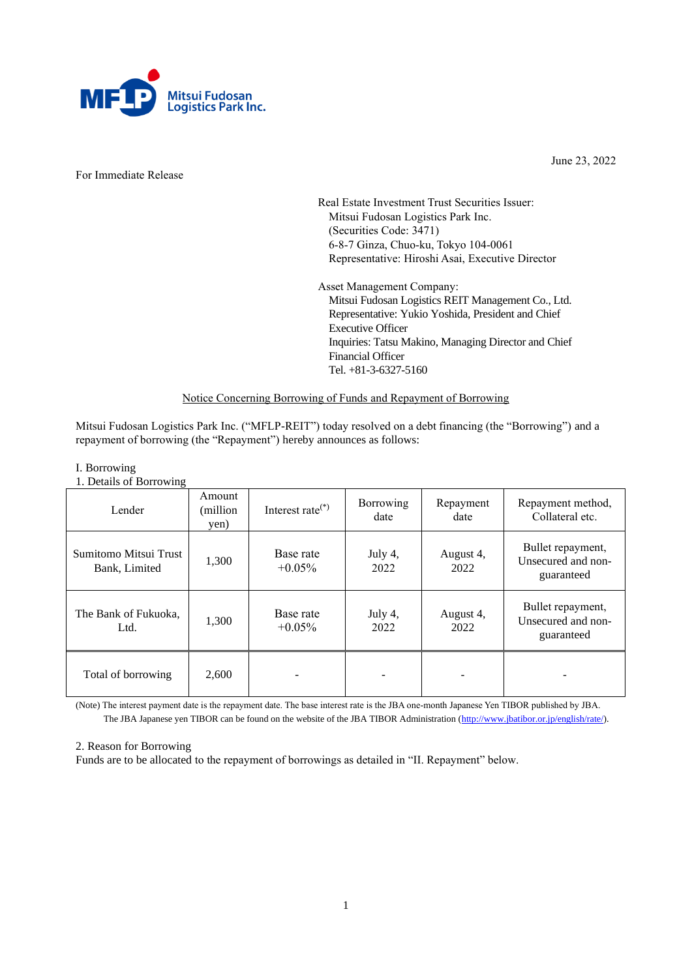

For Immediate Release

June 23, 2022

Real Estate Investment Trust Securities Issuer: Mitsui Fudosan Logistics Park Inc. (Securities Code: 3471) 6-8-7 Ginza, Chuo-ku, Tokyo 104-0061 Representative: Hiroshi Asai, Executive Director

Asset Management Company: Mitsui Fudosan Logistics REIT Management Co., Ltd. Representative: Yukio Yoshida, President and Chief Executive Officer Inquiries: Tatsu Makino, Managing Director and Chief Financial Officer Tel. +81-3-6327-5160

### Notice Concerning Borrowing of Funds and Repayment of Borrowing

Mitsui Fudosan Logistics Park Inc. ("MFLP-REIT") today resolved on a debt financing (the "Borrowing") and a repayment of borrowing (the "Repayment") hereby announces as follows:

## I. Borrowing

1. Details of Borrowing

| $\sim$<br>Lender                       | Amount<br>(million)<br>yen) | Interest rate $(*)$    | Borrowing<br>date | Repayment<br>date | Repayment method,<br>Collateral etc.                  |
|----------------------------------------|-----------------------------|------------------------|-------------------|-------------------|-------------------------------------------------------|
| Sumitomo Mitsui Trust<br>Bank, Limited | 1,300                       | Base rate<br>$+0.05\%$ | July 4,<br>2022   | August 4,<br>2022 | Bullet repayment,<br>Unsecured and non-<br>guaranteed |
| The Bank of Fukuoka,<br>Ltd.           | 1,300                       | Base rate<br>$+0.05\%$ | July 4,<br>2022   | August 4,<br>2022 | Bullet repayment,<br>Unsecured and non-<br>guaranteed |
| Total of borrowing                     | 2,600                       |                        |                   |                   |                                                       |

(Note) The interest payment date is the repayment date. The base interest rate is the JBA one-month Japanese Yen TIBOR published by JBA. The JBA Japanese yen TIBOR can be found on the website of the JBA TIBOR Administration [\(http://www.jbatibor.or.jp/english/rate/\)](http://www.jbatibor.or.jp/english/rate/).

#### 2. Reason for Borrowing

Funds are to be allocated to the repayment of borrowings as detailed in "II. Repayment" below.